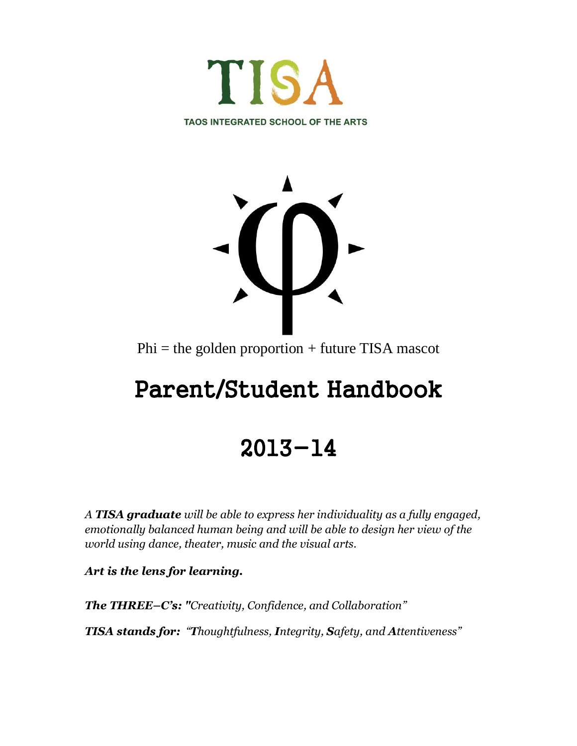



 $Phi =$  the golden proportion + future TISA mascot

# Parent/Student Handbook

# 2013-14

*A TISA graduate will be able to express her individuality as a fully engaged, emotionally balanced human being and will be able to design her view of the world using dance, theater, music and the visual arts.*

*Art is the lens for learning.* 

*The THREE–C's: "Creativity, Confidence, and Collaboration"* 

*TISA stands for: "Thoughtfulness, Integrity, Safety, and Attentiveness"*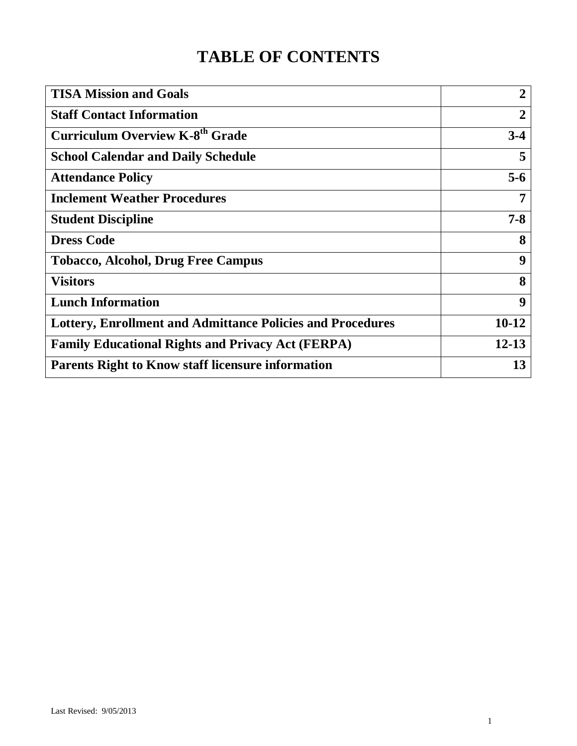## **TABLE OF CONTENTS**

| $\overline{2}$ |
|----------------|
| $\overline{2}$ |
| $3-4$          |
| 5              |
| $5-6$          |
| 7              |
| $7 - 8$        |
| 8              |
| 9              |
| 8              |
| 9              |
| $10-12$        |
| $12 - 13$      |
| 13             |
|                |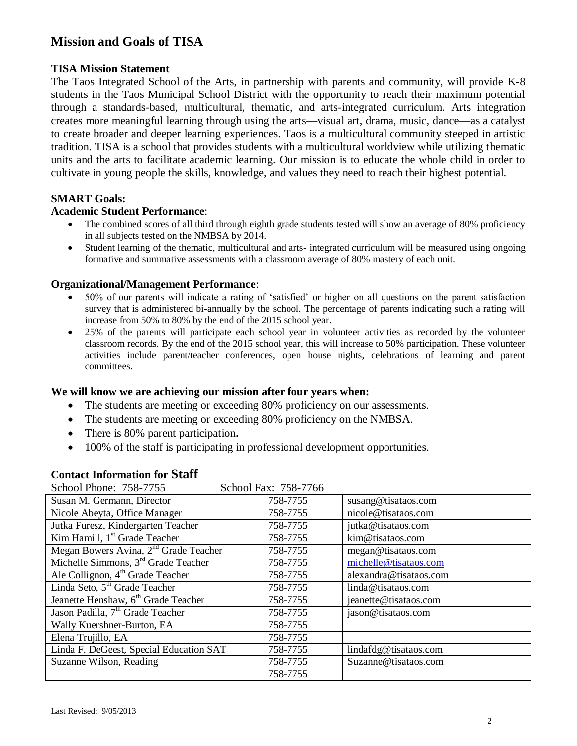## **Mission and Goals of TISA**

#### **TISA Mission Statement**

The Taos Integrated School of the Arts, in partnership with parents and community, will provide K-8 students in the Taos Municipal School District with the opportunity to reach their maximum potential through a standards-based, multicultural, thematic, and arts-integrated curriculum. Arts integration creates more meaningful learning through using the arts—visual art, drama, music, dance—as a catalyst to create broader and deeper learning experiences. Taos is a multicultural community steeped in artistic tradition. TISA is a school that provides students with a multicultural worldview while utilizing thematic units and the arts to facilitate academic learning. Our mission is to educate the whole child in order to cultivate in young people the skills, knowledge, and values they need to reach their highest potential.

#### **SMART Goals:**

#### **Academic Student Performance**:

- The combined scores of all third through eighth grade students tested will show an average of 80% proficiency in all subjects tested on the NMBSA by 2014.
- Student learning of the thematic, multicultural and arts- integrated curriculum will be measured using ongoing formative and summative assessments with a classroom average of 80% mastery of each unit.

#### **Organizational/Management Performance**:

- 50% of our parents will indicate a rating of 'satisfied' or higher on all questions on the parent satisfaction survey that is administered bi-annually by the school. The percentage of parents indicating such a rating will increase from 50% to 80% by the end of the 2015 school year.
- 25% of the parents will participate each school year in volunteer activities as recorded by the volunteer classroom records. By the end of the 2015 school year, this will increase to 50% participation. These volunteer activities include parent/teacher conferences, open house nights, celebrations of learning and parent committees.

#### **We will know we are achieving our mission after four years when:**

- The students are meeting or exceeding 80% proficiency on our assessments.
- The students are meeting or exceeding 80% proficiency on the NMBSA.
- There is 80% parent participation**.**
- 100% of the staff is participating in professional development opportunities.

#### **Contact Information for Staff**

| School Fax: 758-7766<br>School Phone: 758-7755    |          |                        |
|---------------------------------------------------|----------|------------------------|
| Susan M. Germann, Director                        | 758-7755 | susang@tisataos.com    |
| Nicole Abeyta, Office Manager                     | 758-7755 | nicole@tisataos.com    |
| Jutka Furesz, Kindergarten Teacher                | 758-7755 | jutka@tisataos.com     |
| Kim Hamill, 1 <sup>st</sup> Grade Teacher         | 758-7755 | kim@tisataos.com       |
| Megan Bowers Avina, 2 <sup>nd</sup> Grade Teacher | 758-7755 | megan@tisataos.com     |
| Michelle Simmons, 3 <sup>rd</sup> Grade Teacher   | 758-7755 | michelle@tisataos.com  |
| Ale Collignon, 4 <sup>th</sup> Grade Teacher      | 758-7755 | alexandra@tisataos.com |
| Linda Seto, 5 <sup>th</sup> Grade Teacher         | 758-7755 | linda@tisataos.com     |
| Jeanette Henshaw, 6 <sup>th</sup> Grade Teacher   | 758-7755 | jeanette@tisataos.com  |
| Jason Padilla, 7 <sup>th</sup> Grade Teacher      | 758-7755 | jason@tisataos.com     |
| Wally Kuershner-Burton, EA                        | 758-7755 |                        |
| Elena Trujillo, EA                                | 758-7755 |                        |
| Linda F. DeGeest, Special Education SAT           | 758-7755 | lindafdg@tisataos.com  |
| Suzanne Wilson, Reading                           | 758-7755 | Suzanne@tisataos.com   |
|                                                   | 758-7755 |                        |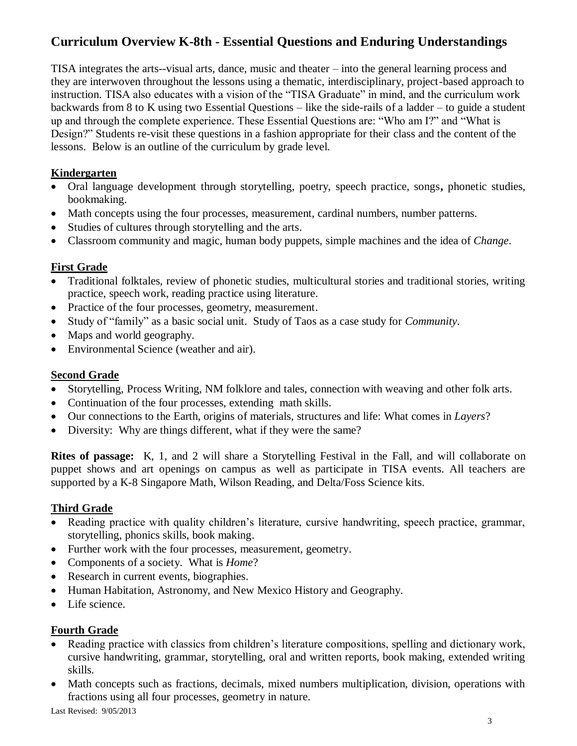## **Curriculum Overview K-8th - Essential Questions and Enduring Understandings**

TISA integrates the arts--visual arts, dance, music and theater – into the general learning process and they are interwoven throughout the lessons using a thematic, interdisciplinary, project-based approach to instruction. TISA also educates with a vision of the "TISA Graduate" in mind, and the curriculum work backwards from 8 to K using two Essential Questions – like the side-rails of a ladder – to guide a student up and through the complete experience. These Essential Questions are: "Who am I?" and "What is Design?" Students re-visit these questions in a fashion appropriate for their class and the content of the lessons. Below is an outline of the curriculum by grade level.

## **Kindergarten**

- Oral language development through storytelling, poetry, speech practice, songs**,** phonetic studies, bookmaking.
- Math concepts using the four processes, measurement, cardinal numbers, number patterns.
- Studies of cultures through storytelling and the arts.
- Classroom community and magic, human body puppets, simple machines and the idea of *Change*.

## **First Grade**

- Traditional folktales, review of phonetic studies, multicultural stories and traditional stories, writing practice, speech work, reading practice using literature.
- Practice of the four processes, geometry, measurement.
- Study of "family" as a basic social unit. Study of Taos as a case study for *Community*.
- Maps and world geography.
- Environmental Science (weather and air).

## **Second Grade**

- Storytelling, Process Writing, NM folklore and tales, connection with weaving and other folk arts.
- Continuation of the four processes, extending math skills.
- Our connections to the Earth, origins of materials, structures and life: What comes in *Layers*?
- Diversity: Why are things different, what if they were the same?

**Rites of passage:** K, 1, and 2 will share a Storytelling Festival in the Fall, and will collaborate on puppet shows and art openings on campus as well as participate in TISA events. All teachers are supported by a K-8 Singapore Math, Wilson Reading, and Delta/Foss Science kits.

## **Third Grade**

- Reading practice with quality children's literature, cursive handwriting, speech practice, grammar, storytelling, phonics skills, book making.
- Further work with the four processes, measurement, geometry.
- Components of a society. What is *Home*?
- Research in current events, biographies.
- Human Habitation, Astronomy, and New Mexico History and Geography.
- Life science.

## **Fourth Grade**

- Reading practice with classics from children's literature compositions, spelling and dictionary work, cursive handwriting, grammar, storytelling, oral and written reports, book making, extended writing skills.
- Math concepts such as fractions, decimals, mixed numbers multiplication, division, operations with fractions using all four processes, geometry in nature.

Last Revised: 9/05/2013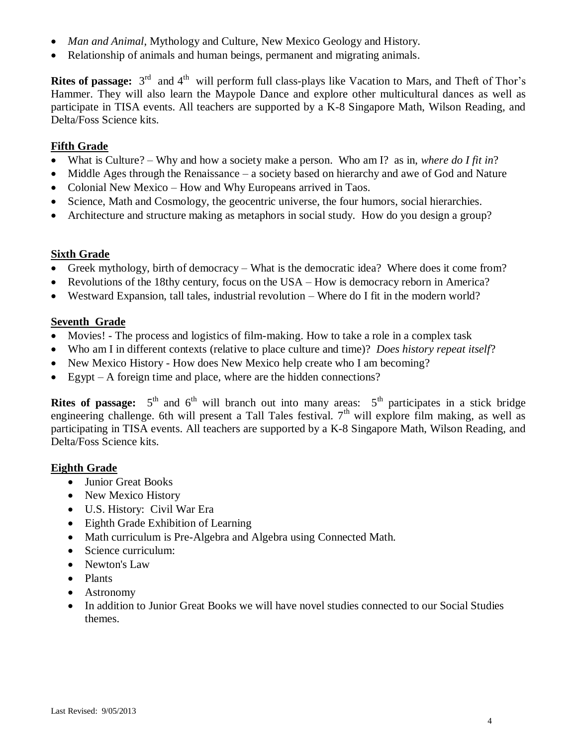- *Man and Animal*, Mythology and Culture, New Mexico Geology and History.
- Relationship of animals and human beings, permanent and migrating animals.

**Rites of passage:**  $3<sup>rd</sup>$  and  $4<sup>th</sup>$  will perform full class-plays like Vacation to Mars, and Theft of Thor's Hammer. They will also learn the Maypole Dance and explore other multicultural dances as well as participate in TISA events. All teachers are supported by a K-8 Singapore Math, Wilson Reading, and Delta/Foss Science kits.

## **Fifth Grade**

- What is Culture? Why and how a society make a person. Who am I? as in, *where do I fit in*?
- Middle Ages through the Renaissance a society based on hierarchy and awe of God and Nature
- Colonial New Mexico How and Why Europeans arrived in Taos.
- Science, Math and Cosmology, the geocentric universe, the four humors, social hierarchies.
- Architecture and structure making as metaphors in social study. How do you design a group?

## **Sixth Grade**

- Greek mythology, birth of democracy What is the democratic idea? Where does it come from?
- Revolutions of the 18thy century, focus on the USA How is democracy reborn in America?
- Westward Expansion, tall tales, industrial revolution Where do I fit in the modern world?

#### **Seventh Grade**

- Movies! The process and logistics of film-making. How to take a role in a complex task
- Who am I in different contexts (relative to place culture and time)? *Does history repeat itself*?
- New Mexico History How does New Mexico help create who I am becoming?
- Egypt A foreign time and place, where are the hidden connections?

**Rites of passage:**  $5<sup>th</sup>$  and  $6<sup>th</sup>$  will branch out into many areas:  $5<sup>th</sup>$  participates in a stick bridge engineering challenge. 6th will present a Tall Tales festival.  $7<sup>th</sup>$  will explore film making, as well as participating in TISA events. All teachers are supported by a K-8 Singapore Math, Wilson Reading, and Delta/Foss Science kits.

#### **Eighth Grade**

- Junior Great Books
- New Mexico History
- U.S. History: Civil War Era
- Eighth Grade Exhibition of Learning
- Math curriculum is Pre-Algebra and Algebra using Connected Math.
- Science curriculum:
- Newton's Law
- Plants
- Astronomy
- In addition to Junior Great Books we will have novel studies connected to our Social Studies themes.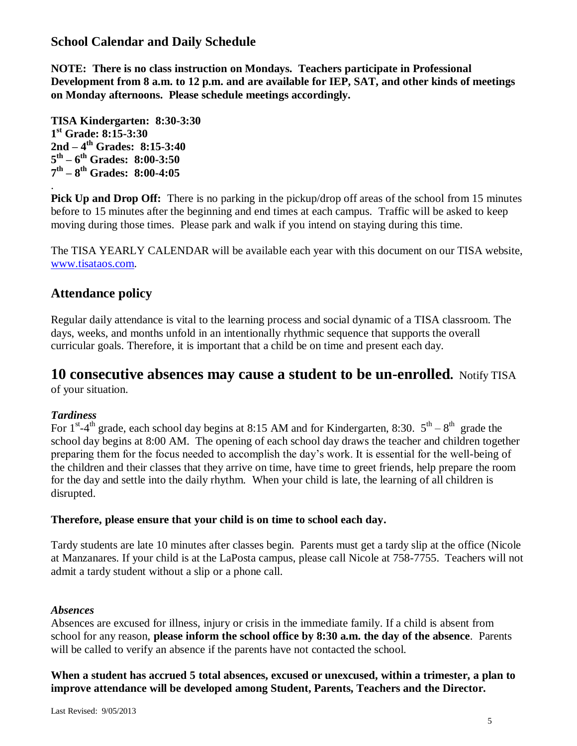## **School Calendar and Daily Schedule**

**NOTE: There is no class instruction on Mondays. Teachers participate in Professional Development from 8 a.m. to 12 p.m. and are available for IEP, SAT, and other kinds of meetings on Monday afternoons. Please schedule meetings accordingly.**

**TISA Kindergarten: 8:30-3:30 1 st Grade: 8:15-3:30 2nd – 4 th Grades: 8:15-3:40 5 th – 6 th Grades: 8:00-3:50 7 th – 8 th Grades: 8:00-4:05**

**Pick Up and Drop Off:** There is no parking in the pickup/drop off areas of the school from 15 minutes before to 15 minutes after the beginning and end times at each campus. Traffic will be asked to keep moving during those times. Please park and walk if you intend on staying during this time.

The TISA YEARLY CALENDAR will be available each year with this document on our TISA website, [www.tisataos.com.](http://www.tisataos.com/)

## **Attendance policy**

Regular daily attendance is vital to the learning process and social dynamic of a TISA classroom. The days, weeks, and months unfold in an intentionally rhythmic sequence that supports the overall curricular goals. Therefore, it is important that a child be on time and present each day.

## **10 consecutive absences may cause a student to be un-enrolled.** Notify TISA

of your situation.

## *Tardiness*

.

For  $1<sup>st</sup> - 4<sup>th</sup>$  grade, each school day begins at 8:15 AM and for Kindergarten, 8:30.  $5<sup>th</sup> - 8<sup>th</sup>$  grade the school day begins at 8:00 AM. The opening of each school day draws the teacher and children together preparing them for the focus needed to accomplish the day's work. It is essential for the well-being of the children and their classes that they arrive on time, have time to greet friends, help prepare the room for the day and settle into the daily rhythm. When your child is late, the learning of all children is disrupted.

#### **Therefore, please ensure that your child is on time to school each day.**

Tardy students are late 10 minutes after classes begin. Parents must get a tardy slip at the office (Nicole at Manzanares. If your child is at the LaPosta campus, please call Nicole at 758-7755. Teachers will not admit a tardy student without a slip or a phone call.

#### *Absences*

Absences are excused for illness, injury or crisis in the immediate family. If a child is absent from school for any reason, **please inform the school office by 8:30 a.m. the day of the absence**. Parents will be called to verify an absence if the parents have not contacted the school.

**When a student has accrued 5 total absences, excused or unexcused, within a trimester, a plan to improve attendance will be developed among Student, Parents, Teachers and the Director.**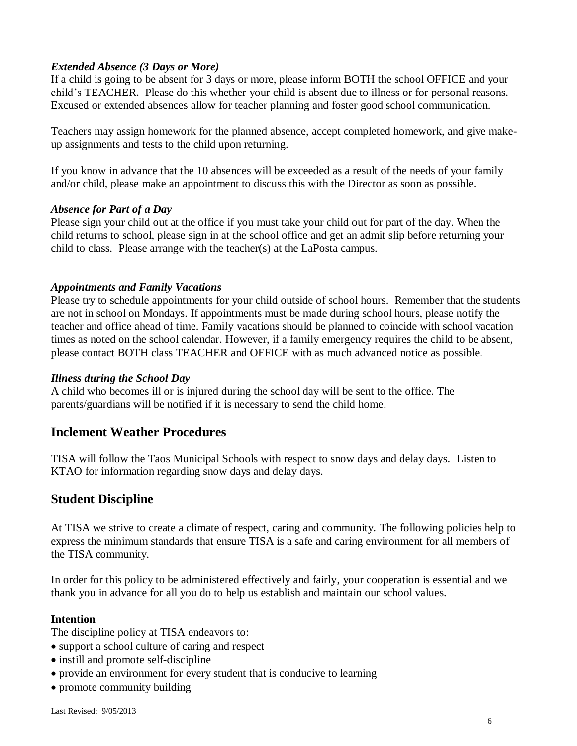#### *Extended Absence (3 Days or More)*

If a child is going to be absent for 3 days or more, please inform BOTH the school OFFICE and your child's TEACHER. Please do this whether your child is absent due to illness or for personal reasons. Excused or extended absences allow for teacher planning and foster good school communication.

Teachers may assign homework for the planned absence, accept completed homework, and give makeup assignments and tests to the child upon returning.

If you know in advance that the 10 absences will be exceeded as a result of the needs of your family and/or child, please make an appointment to discuss this with the Director as soon as possible.

#### *Absence for Part of a Day*

Please sign your child out at the office if you must take your child out for part of the day. When the child returns to school, please sign in at the school office and get an admit slip before returning your child to class. Please arrange with the teacher(s) at the LaPosta campus.

#### *Appointments and Family Vacations*

Please try to schedule appointments for your child outside of school hours. Remember that the students are not in school on Mondays. If appointments must be made during school hours, please notify the teacher and office ahead of time. Family vacations should be planned to coincide with school vacation times as noted on the school calendar. However, if a family emergency requires the child to be absent, please contact BOTH class TEACHER and OFFICE with as much advanced notice as possible.

#### *Illness during the School Day*

A child who becomes ill or is injured during the school day will be sent to the office. The parents/guardians will be notified if it is necessary to send the child home.

## **Inclement Weather Procedures**

TISA will follow the Taos Municipal Schools with respect to snow days and delay days. Listen to KTAO for information regarding snow days and delay days.

## **Student Discipline**

At TISA we strive to create a climate of respect, caring and community. The following policies help to express the minimum standards that ensure TISA is a safe and caring environment for all members of the TISA community.

In order for this policy to be administered effectively and fairly, your cooperation is essential and we thank you in advance for all you do to help us establish and maintain our school values.

#### **Intention**

The discipline policy at TISA endeavors to:

- support a school culture of caring and respect
- instill and promote self-discipline
- provide an environment for every student that is conducive to learning
- promote community building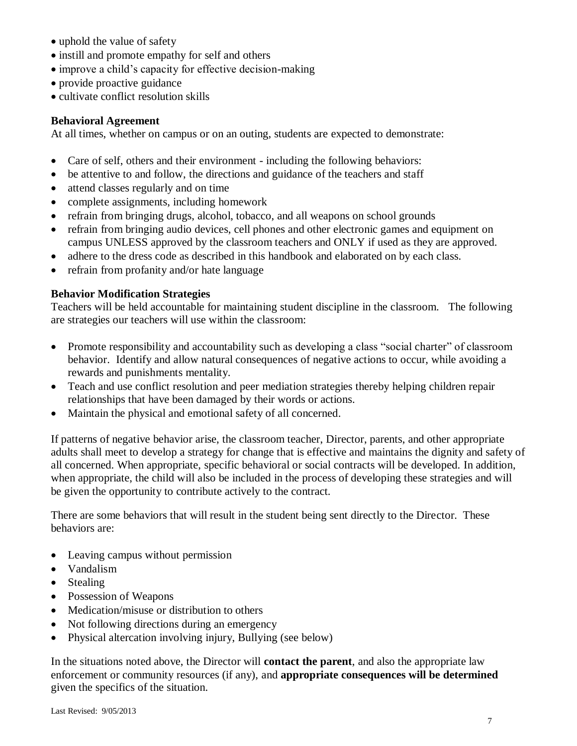- uphold the value of safety
- $\bullet$  instill and promote empathy for self and others
- improve a child's capacity for effective decision-making
- provide proactive guidance
- cultivate conflict resolution skills

#### **Behavioral Agreement**

At all times, whether on campus or on an outing, students are expected to demonstrate:

- Care of self, others and their environment including the following behaviors:
- be attentive to and follow, the directions and guidance of the teachers and staff
- attend classes regularly and on time
- complete assignments, including homework
- refrain from bringing drugs, alcohol, tobacco, and all weapons on school grounds
- refrain from bringing audio devices, cell phones and other electronic games and equipment on campus UNLESS approved by the classroom teachers and ONLY if used as they are approved.
- adhere to the dress code as described in this handbook and elaborated on by each class.
- refrain from profanity and/or hate language

#### **Behavior Modification Strategies**

Teachers will be held accountable for maintaining student discipline in the classroom. The following are strategies our teachers will use within the classroom:

- Promote responsibility and accountability such as developing a class "social charter" of classroom behavior. Identify and allow natural consequences of negative actions to occur, while avoiding a rewards and punishments mentality.
- Teach and use conflict resolution and peer mediation strategies thereby helping children repair relationships that have been damaged by their words or actions.
- Maintain the physical and emotional safety of all concerned.

If patterns of negative behavior arise, the classroom teacher, Director, parents, and other appropriate adults shall meet to develop a strategy for change that is effective and maintains the dignity and safety of all concerned. When appropriate, specific behavioral or social contracts will be developed. In addition, when appropriate, the child will also be included in the process of developing these strategies and will be given the opportunity to contribute actively to the contract.

There are some behaviors that will result in the student being sent directly to the Director. These behaviors are:

- Leaving campus without permission
- Vandalism
- Stealing
- Possession of Weapons
- Medication/misuse or distribution to others
- Not following directions during an emergency
- Physical altercation involving injury, Bullying (see below)

In the situations noted above, the Director will **contact the parent**, and also the appropriate law enforcement or community resources (if any), and **appropriate consequences will be determined** given the specifics of the situation.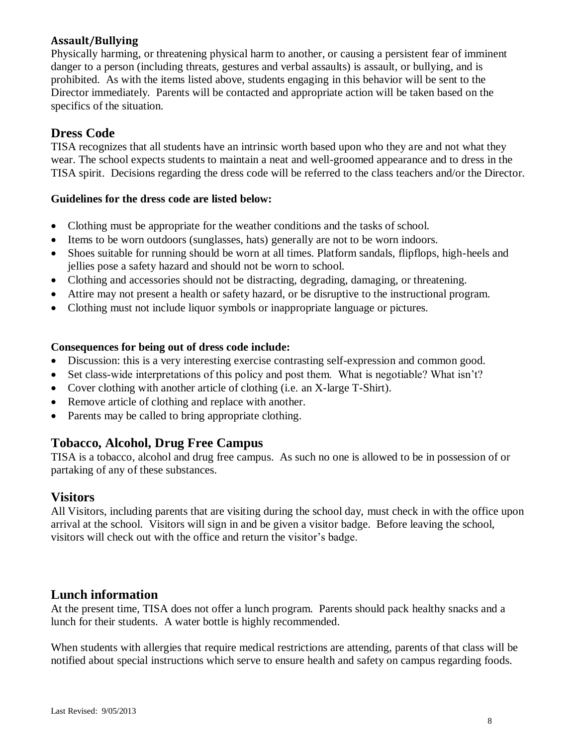## **Assault/Bullying**

Physically harming, or threatening physical harm to another, or causing a persistent fear of imminent danger to a person (including threats, gestures and verbal assaults) is assault, or bullying, and is prohibited. As with the items listed above, students engaging in this behavior will be sent to the Director immediately. Parents will be contacted and appropriate action will be taken based on the specifics of the situation.

## **Dress Code**

TISA recognizes that all students have an intrinsic worth based upon who they are and not what they wear. The school expects students to maintain a neat and well-groomed appearance and to dress in the TISA spirit. Decisions regarding the dress code will be referred to the class teachers and/or the Director.

#### **Guidelines for the dress code are listed below:**

- Clothing must be appropriate for the weather conditions and the tasks of school.
- Items to be worn outdoors (sunglasses, hats) generally are not to be worn indoors.
- Shoes suitable for running should be worn at all times. Platform sandals, flipflops, high-heels and jellies pose a safety hazard and should not be worn to school.
- Clothing and accessories should not be distracting, degrading, damaging, or threatening.
- Attire may not present a health or safety hazard, or be disruptive to the instructional program.
- Clothing must not include liquor symbols or inappropriate language or pictures.

#### **Consequences for being out of dress code include:**

- Discussion: this is a very interesting exercise contrasting self-expression and common good.
- Set class-wide interpretations of this policy and post them. What is negotiable? What isn't?
- Cover clothing with another article of clothing (i.e. an X-large T-Shirt).
- Remove article of clothing and replace with another.
- Parents may be called to bring appropriate clothing.

## **Tobacco, Alcohol, Drug Free Campus**

TISA is a tobacco, alcohol and drug free campus. As such no one is allowed to be in possession of or partaking of any of these substances.

## **Visitors**

All Visitors, including parents that are visiting during the school day, must check in with the office upon arrival at the school. Visitors will sign in and be given a visitor badge. Before leaving the school, visitors will check out with the office and return the visitor's badge.

## **Lunch information**

At the present time, TISA does not offer a lunch program. Parents should pack healthy snacks and a lunch for their students. A water bottle is highly recommended.

When students with allergies that require medical restrictions are attending, parents of that class will be notified about special instructions which serve to ensure health and safety on campus regarding foods.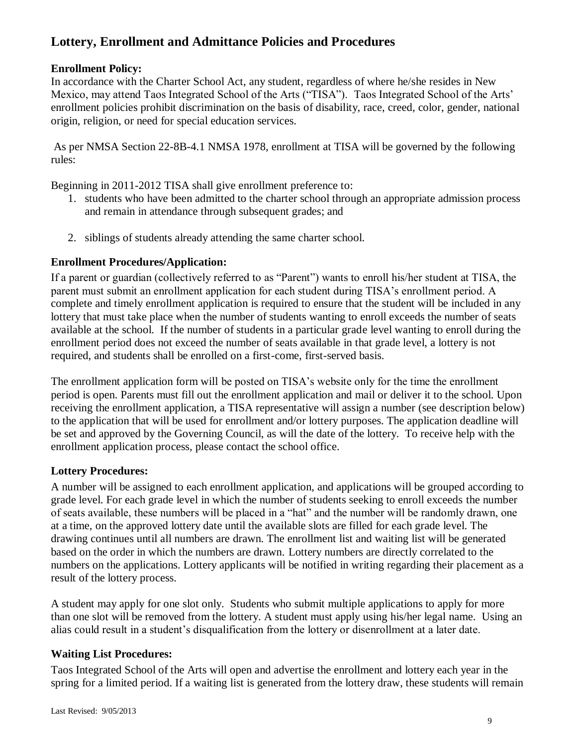## **Lottery, Enrollment and Admittance Policies and Procedures**

## **Enrollment Policy:**

In accordance with the Charter School Act, any student, regardless of where he/she resides in New Mexico, may attend Taos Integrated School of the Arts ("TISA"). Taos Integrated School of the Arts' enrollment policies prohibit discrimination on the basis of disability, race, creed, color, gender, national origin, religion, or need for special education services.

As per NMSA Section 22-8B-4.1 NMSA 1978, enrollment at TISA will be governed by the following rules:

Beginning in 2011-2012 TISA shall give enrollment preference to:

- 1. students who have been admitted to the charter school through an appropriate admission process and remain in attendance through subsequent grades; and
- 2. siblings of students already attending the same charter school.

## **Enrollment Procedures/Application:**

If a parent or guardian (collectively referred to as "Parent") wants to enroll his/her student at TISA, the parent must submit an enrollment application for each student during TISA's enrollment period. A complete and timely enrollment application is required to ensure that the student will be included in any lottery that must take place when the number of students wanting to enroll exceeds the number of seats available at the school. If the number of students in a particular grade level wanting to enroll during the enrollment period does not exceed the number of seats available in that grade level, a lottery is not required, and students shall be enrolled on a first-come, first-served basis.

The enrollment application form will be posted on TISA's website only for the time the enrollment period is open. Parents must fill out the enrollment application and mail or deliver it to the school. Upon receiving the enrollment application, a TISA representative will assign a number (see description below) to the application that will be used for enrollment and/or lottery purposes. The application deadline will be set and approved by the Governing Council, as will the date of the lottery. To receive help with the enrollment application process, please contact the school office.

## **Lottery Procedures:**

A number will be assigned to each enrollment application, and applications will be grouped according to grade level. For each grade level in which the number of students seeking to enroll exceeds the number of seats available, these numbers will be placed in a "hat" and the number will be randomly drawn, one at a time, on the approved lottery date until the available slots are filled for each grade level. The drawing continues until all numbers are drawn. The enrollment list and waiting list will be generated based on the order in which the numbers are drawn. Lottery numbers are directly correlated to the numbers on the applications. Lottery applicants will be notified in writing regarding their placement as a result of the lottery process.

A student may apply for one slot only. Students who submit multiple applications to apply for more than one slot will be removed from the lottery. A student must apply using his/her legal name. Using an alias could result in a student's disqualification from the lottery or disenrollment at a later date.

## **Waiting List Procedures:**

Taos Integrated School of the Arts will open and advertise the enrollment and lottery each year in the spring for a limited period. If a waiting list is generated from the lottery draw, these students will remain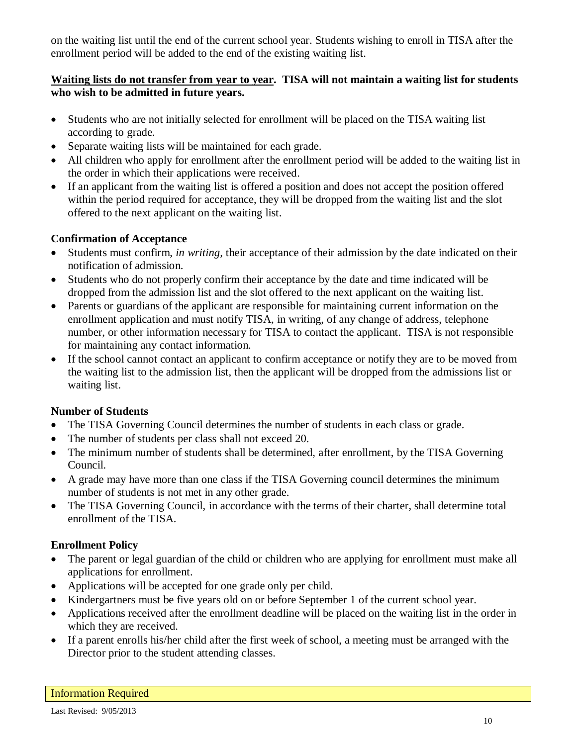on the waiting list until the end of the current school year. Students wishing to enroll in TISA after the enrollment period will be added to the end of the existing waiting list.

## **Waiting lists do not transfer from year to year. TISA will not maintain a waiting list for students who wish to be admitted in future years.**

- Students who are not initially selected for enrollment will be placed on the TISA waiting list according to grade.
- Separate waiting lists will be maintained for each grade.
- All children who apply for enrollment after the enrollment period will be added to the waiting list in the order in which their applications were received.
- If an applicant from the waiting list is offered a position and does not accept the position offered within the period required for acceptance, they will be dropped from the waiting list and the slot offered to the next applicant on the waiting list.

## **Confirmation of Acceptance**

- Students must confirm, *in writing,* their acceptance of their admission by the date indicated on their notification of admission.
- Students who do not properly confirm their acceptance by the date and time indicated will be dropped from the admission list and the slot offered to the next applicant on the waiting list.
- Parents or guardians of the applicant are responsible for maintaining current information on the enrollment application and must notify TISA, in writing, of any change of address, telephone number, or other information necessary for TISA to contact the applicant. TISA is not responsible for maintaining any contact information.
- If the school cannot contact an applicant to confirm acceptance or notify they are to be moved from the waiting list to the admission list, then the applicant will be dropped from the admissions list or waiting list.

## **Number of Students**

- The TISA Governing Council determines the number of students in each class or grade.
- The number of students per class shall not exceed 20.
- The minimum number of students shall be determined, after enrollment, by the TISA Governing Council.
- A grade may have more than one class if the TISA Governing council determines the minimum number of students is not met in any other grade.
- The TISA Governing Council, in accordance with the terms of their charter, shall determine total enrollment of the TISA.

## **Enrollment Policy**

- The parent or legal guardian of the child or children who are applying for enrollment must make all applications for enrollment.
- Applications will be accepted for one grade only per child.
- Kindergartners must be five years old on or before September 1 of the current school year.
- Applications received after the enrollment deadline will be placed on the waiting list in the order in which they are received.
- If a parent enrolls his/her child after the first week of school, a meeting must be arranged with the Director prior to the student attending classes.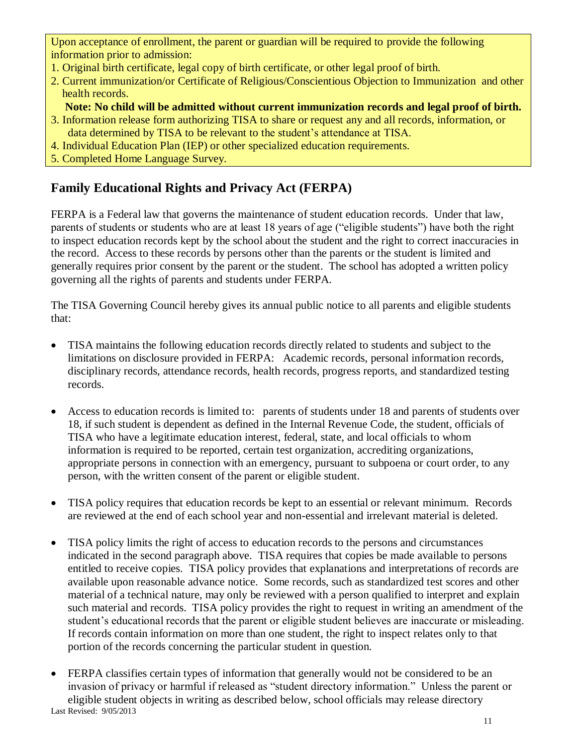Upon acceptance of enrollment, the parent or guardian will be required to provide the following information prior to admission:

- 1. Original birth certificate, legal copy of birth certificate, or other legal proof of birth.
- 2. Current immunization/or Certificate of Religious/Conscientious Objection to Immunization and other health records.
	- **Note: No child will be admitted without current immunization records and legal proof of birth.**
- 3. Information release form authorizing TISA to share or request any and all records, information, or data determined by TISA to be relevant to the student's attendance at TISA.
- 4. Individual Education Plan (IEP) or other specialized education requirements.
- 5. Completed Home Language Survey.

## **Family Educational Rights and Privacy Act (FERPA)**

FERPA is a Federal law that governs the maintenance of student education records. Under that law, parents of students or students who are at least 18 years of age ("eligible students") have both the right to inspect education records kept by the school about the student and the right to correct inaccuracies in the record. Access to these records by persons other than the parents or the student is limited and generally requires prior consent by the parent or the student. The school has adopted a written policy governing all the rights of parents and students under FERPA.

The TISA Governing Council hereby gives its annual public notice to all parents and eligible students that:

- TISA maintains the following education records directly related to students and subject to the limitations on disclosure provided in FERPA: Academic records, personal information records, disciplinary records, attendance records, health records, progress reports, and standardized testing records.
- Access to education records is limited to: parents of students under 18 and parents of students over 18, if such student is dependent as defined in the Internal Revenue Code, the student, officials of TISA who have a legitimate education interest, federal, state, and local officials to whom information is required to be reported, certain test organization, accrediting organizations, appropriate persons in connection with an emergency, pursuant to subpoena or court order, to any person, with the written consent of the parent or eligible student.
- TISA policy requires that education records be kept to an essential or relevant minimum. Records are reviewed at the end of each school year and non-essential and irrelevant material is deleted.
- TISA policy limits the right of access to education records to the persons and circumstances indicated in the second paragraph above. TISA requires that copies be made available to persons entitled to receive copies. TISA policy provides that explanations and interpretations of records are available upon reasonable advance notice. Some records, such as standardized test scores and other material of a technical nature, may only be reviewed with a person qualified to interpret and explain such material and records. TISA policy provides the right to request in writing an amendment of the student's educational records that the parent or eligible student believes are inaccurate or misleading. If records contain information on more than one student, the right to inspect relates only to that portion of the records concerning the particular student in question.
- Last Revised: 9/05/2013 • FERPA classifies certain types of information that generally would not be considered to be an invasion of privacy or harmful if released as "student directory information." Unless the parent or eligible student objects in writing as described below, school officials may release directory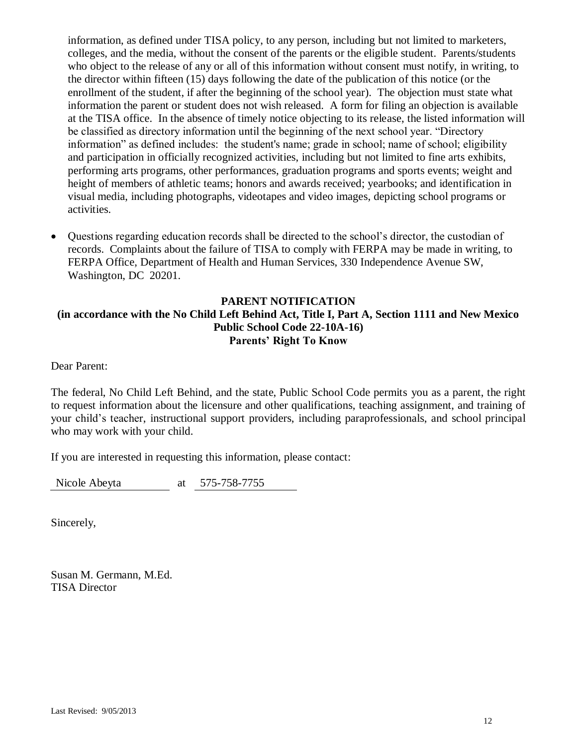information, as defined under TISA policy, to any person, including but not limited to marketers, colleges, and the media, without the consent of the parents or the eligible student. Parents/students who object to the release of any or all of this information without consent must notify, in writing, to the director within fifteen (15) days following the date of the publication of this notice (or the enrollment of the student, if after the beginning of the school year). The objection must state what information the parent or student does not wish released. A form for filing an objection is available at the TISA office. In the absence of timely notice objecting to its release, the listed information will be classified as directory information until the beginning of the next school year. "Directory information" as defined includes: the student's name; grade in school; name of school; eligibility and participation in officially recognized activities, including but not limited to fine arts exhibits, performing arts programs, other performances, graduation programs and sports events; weight and height of members of athletic teams; honors and awards received; yearbooks; and identification in visual media, including photographs, videotapes and video images, depicting school programs or activities.

 Questions regarding education records shall be directed to the school's director, the custodian of records. Complaints about the failure of TISA to comply with FERPA may be made in writing, to FERPA Office, Department of Health and Human Services, 330 Independence Avenue SW, Washington, DC 20201.

## **PARENT NOTIFICATION (in accordance with the No Child Left Behind Act, Title I, Part A, Section 1111 and New Mexico Public School Code 22-10A-16) Parents' Right To Know**

Dear Parent:

The federal, No Child Left Behind, and the state, Public School Code permits you as a parent, the right to request information about the licensure and other qualifications, teaching assignment, and training of your child's teacher, instructional support providers, including paraprofessionals, and school principal who may work with your child.

If you are interested in requesting this information, please contact:

Nicole Abeyta at 575-758-7755

Sincerely,

Susan M. Germann, M.Ed. TISA Director